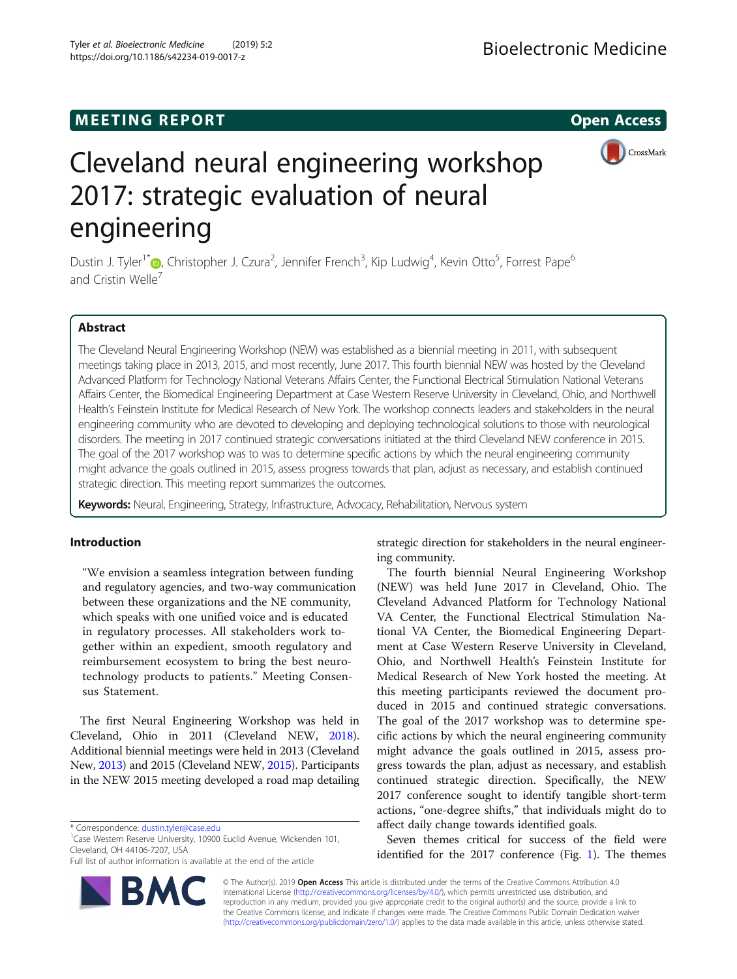Tyler et al. Bioelectronic Medicine (2019) 5:2 https://doi.org/10.1186/s42234-019-0017-z

CrossMark



Dustin J. Tyler<sup>1\*</sup>®, Christopher J. Czura<sup>2</sup>, Jennifer French<sup>3</sup>, Kip Ludwig<sup>4</sup>, Kevin Otto<sup>5</sup>, Forrest Pape<sup>6</sup> and Cristin Welle<sup>7</sup>

# Abstract

The Cleveland Neural Engineering Workshop (NEW) was established as a biennial meeting in 2011, with subsequent meetings taking place in 2013, 2015, and most recently, June 2017. This fourth biennial NEW was hosted by the Cleveland Advanced Platform for Technology National Veterans Affairs Center, the Functional Electrical Stimulation National Veterans Affairs Center, the Biomedical Engineering Department at Case Western Reserve University in Cleveland, Ohio, and Northwell Health's Feinstein Institute for Medical Research of New York. The workshop connects leaders and stakeholders in the neural engineering community who are devoted to developing and deploying technological solutions to those with neurological disorders. The meeting in 2017 continued strategic conversations initiated at the third Cleveland NEW conference in 2015. The goal of the 2017 workshop was to was to determine specific actions by which the neural engineering community might advance the goals outlined in 2015, assess progress towards that plan, adjust as necessary, and establish continued strategic direction. This meeting report summarizes the outcomes.

Keywords: Neural, Engineering, Strategy, Infrastructure, Advocacy, Rehabilitation, Nervous system

# Introduction

"We envision a seamless integration between funding and regulatory agencies, and two-way communication between these organizations and the NE community, which speaks with one unified voice and is educated in regulatory processes. All stakeholders work together within an expedient, smooth regulatory and reimbursement ecosystem to bring the best neurotechnology products to patients." Meeting Consensus Statement.

The first Neural Engineering Workshop was held in Cleveland, Ohio in 2011 (Cleveland NEW, [2018](#page-13-0)). Additional biennial meetings were held in 2013 (Cleveland New, [2013](#page-13-0)) and 2015 (Cleveland NEW, [2015](#page-13-0)). Participants in the NEW 2015 meeting developed a road map detailing

\* Correspondence: [dustin.tyler@case.edu](mailto:dustin.tyler@case.edu) <sup>1</sup>

<sup>1</sup> Case Western Reserve University, 10900 Euclid Avenue, Wickenden 101, Cleveland, OH 44106-7207, USA

Full list of author information is available at the end of the article



strategic direction for stakeholders in the neural engineering community.

The fourth biennial Neural Engineering Workshop (NEW) was held June 2017 in Cleveland, Ohio. The Cleveland Advanced Platform for Technology National VA Center, the Functional Electrical Stimulation National VA Center, the Biomedical Engineering Department at Case Western Reserve University in Cleveland, Ohio, and Northwell Health's Feinstein Institute for Medical Research of New York hosted the meeting. At this meeting participants reviewed the document produced in 2015 and continued strategic conversations. The goal of the 2017 workshop was to determine specific actions by which the neural engineering community might advance the goals outlined in 2015, assess progress towards the plan, adjust as necessary, and establish continued strategic direction. Specifically, the NEW 2017 conference sought to identify tangible short-term actions, "one-degree shifts," that individuals might do to affect daily change towards identified goals.

Seven themes critical for success of the field were identified for the 2017 conference (Fig. [1](#page-1-0)). The themes

© The Author(s). 2019 Open Access This article is distributed under the terms of the Creative Commons Attribution 4.0 International License [\(http://creativecommons.org/licenses/by/4.0/](http://creativecommons.org/licenses/by/4.0/)), which permits unrestricted use, distribution, and reproduction in any medium, provided you give appropriate credit to the original author(s) and the source, provide a link to the Creative Commons license, and indicate if changes were made. The Creative Commons Public Domain Dedication waiver [\(http://creativecommons.org/publicdomain/zero/1.0/](http://creativecommons.org/publicdomain/zero/1.0/)) applies to the data made available in this article, unless otherwise stated.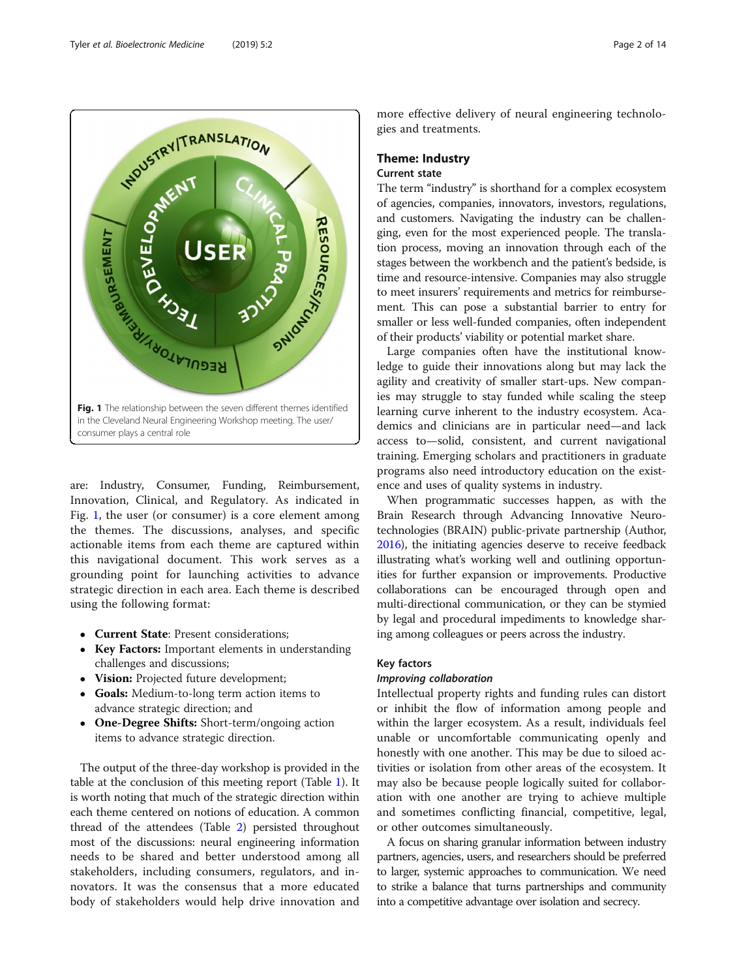<span id="page-1-0"></span>

are: Industry, Consumer, Funding, Reimbursement, Innovation, Clinical, and Regulatory. As indicated in Fig. 1, the user (or consumer) is a core element among the themes. The discussions, analyses, and specific actionable items from each theme are captured within this navigational document. This work serves as a grounding point for launching activities to advance strategic direction in each area. Each theme is described using the following format:

- Current State: Present considerations:
- Key Factors: Important elements in understanding challenges and discussions;
- Vision: Projected future development;
- Goals: Medium-to-long term action items to advance strategic direction; and
- One-Degree Shifts: Short-term/ongoing action items to advance strategic direction.

The output of the three-day workshop is provided in the table at the conclusion of this meeting report (Table [1\)](#page-2-0). It is worth noting that much of the strategic direction within each theme centered on notions of education. A common thread of the attendees (Table [2](#page-3-0)) persisted throughout most of the discussions: neural engineering information needs to be shared and better understood among all stakeholders, including consumers, regulators, and innovators. It was the consensus that a more educated body of stakeholders would help drive innovation and

more effective delivery of neural engineering technologies and treatments.

## Theme: Industry Current state

The term "industry" is shorthand for a complex ecosystem of agencies, companies, innovators, investors, regulations, and customers. Navigating the industry can be challenging, even for the most experienced people. The translation process, moving an innovation through each of the stages between the workbench and the patient's bedside, is time and resource-intensive. Companies may also struggle to meet insurers' requirements and metrics for reimbursement. This can pose a substantial barrier to entry for smaller or less well-funded companies, often independent of their products' viability or potential market share.

Large companies often have the institutional knowledge to guide their innovations along but may lack the agility and creativity of smaller start-ups. New companies may struggle to stay funded while scaling the steep learning curve inherent to the industry ecosystem. Academics and clinicians are in particular need—and lack access to—solid, consistent, and current navigational training. Emerging scholars and practitioners in graduate programs also need introductory education on the existence and uses of quality systems in industry.

When programmatic successes happen, as with the Brain Research through Advancing Innovative Neurotechnologies (BRAIN) public-private partnership (Author, [2016\)](#page-13-0), the initiating agencies deserve to receive feedback illustrating what's working well and outlining opportunities for further expansion or improvements. Productive collaborations can be encouraged through open and multi-directional communication, or they can be stymied by legal and procedural impediments to knowledge sharing among colleagues or peers across the industry.

## Key factors

## Improving collaboration

Intellectual property rights and funding rules can distort or inhibit the flow of information among people and within the larger ecosystem. As a result, individuals feel unable or uncomfortable communicating openly and honestly with one another. This may be due to siloed activities or isolation from other areas of the ecosystem. It may also be because people logically suited for collaboration with one another are trying to achieve multiple and sometimes conflicting financial, competitive, legal, or other outcomes simultaneously.

A focus on sharing granular information between industry partners, agencies, users, and researchers should be preferred to larger, systemic approaches to communication. We need to strike a balance that turns partnerships and community into a competitive advantage over isolation and secrecy.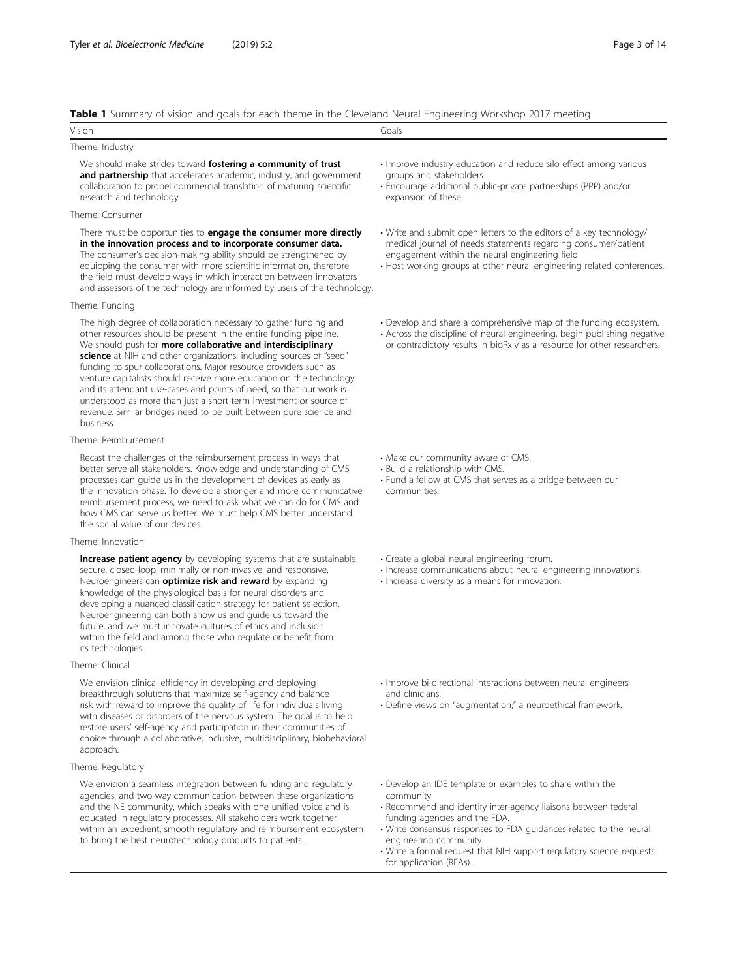<span id="page-2-0"></span>

| Vision                                                                                                                                                                                                                                                                                                                                                                                                                                                                                                                                                                                                                                                | Goals                                                                                                                                                                                                                                                                                                                                                                          |  |
|-------------------------------------------------------------------------------------------------------------------------------------------------------------------------------------------------------------------------------------------------------------------------------------------------------------------------------------------------------------------------------------------------------------------------------------------------------------------------------------------------------------------------------------------------------------------------------------------------------------------------------------------------------|--------------------------------------------------------------------------------------------------------------------------------------------------------------------------------------------------------------------------------------------------------------------------------------------------------------------------------------------------------------------------------|--|
| Theme: Industry                                                                                                                                                                                                                                                                                                                                                                                                                                                                                                                                                                                                                                       |                                                                                                                                                                                                                                                                                                                                                                                |  |
| We should make strides toward fostering a community of trust<br>and partnership that accelerates academic, industry, and government<br>collaboration to propel commercial translation of maturing scientific<br>research and technology.                                                                                                                                                                                                                                                                                                                                                                                                              | · Improve industry education and reduce silo effect among various<br>groups and stakeholders<br>· Encourage additional public-private partnerships (PPP) and/or<br>expansion of these.                                                                                                                                                                                         |  |
| Theme: Consumer                                                                                                                                                                                                                                                                                                                                                                                                                                                                                                                                                                                                                                       |                                                                                                                                                                                                                                                                                                                                                                                |  |
| There must be opportunities to engage the consumer more directly<br>in the innovation process and to incorporate consumer data.<br>The consumer's decision-making ability should be strengthened by<br>equipping the consumer with more scientific information, therefore<br>the field must develop ways in which interaction between innovators<br>and assessors of the technology are informed by users of the technology.                                                                                                                                                                                                                          | • Write and submit open letters to the editors of a key technology/<br>medical journal of needs statements regarding consumer/patient<br>engagement within the neural engineering field.<br>• Host working groups at other neural engineering related conferences.                                                                                                             |  |
| Theme: Funding                                                                                                                                                                                                                                                                                                                                                                                                                                                                                                                                                                                                                                        |                                                                                                                                                                                                                                                                                                                                                                                |  |
| The high degree of collaboration necessary to gather funding and<br>other resources should be present in the entire funding pipeline.<br>We should push for more collaborative and interdisciplinary<br>science at NIH and other organizations, including sources of "seed"<br>funding to spur collaborations. Major resource providers such as<br>venture capitalists should receive more education on the technology<br>and its attendant use-cases and points of need, so that our work is<br>understood as more than just a short-term investment or source of<br>revenue. Similar bridges need to be built between pure science and<br>business. | • Develop and share a comprehensive map of the funding ecosystem.<br>• Across the discipline of neural engineering, begin publishing negative<br>or contradictory results in bioRxiv as a resource for other researchers.                                                                                                                                                      |  |
| Theme: Reimbursement                                                                                                                                                                                                                                                                                                                                                                                                                                                                                                                                                                                                                                  |                                                                                                                                                                                                                                                                                                                                                                                |  |
| Recast the challenges of the reimbursement process in ways that<br>better serve all stakeholders. Knowledge and understanding of CMS<br>processes can guide us in the development of devices as early as<br>the innovation phase. To develop a stronger and more communicative<br>reimbursement process, we need to ask what we can do for CMS and<br>how CMS can serve us better. We must help CMS better understand<br>the social value of our devices.                                                                                                                                                                                             | • Make our community aware of CMS.<br>• Build a relationship with CMS.<br>• Fund a fellow at CMS that serves as a bridge between our<br>communities.                                                                                                                                                                                                                           |  |
| Theme: Innovation                                                                                                                                                                                                                                                                                                                                                                                                                                                                                                                                                                                                                                     |                                                                                                                                                                                                                                                                                                                                                                                |  |
| <b>Increase patient agency</b> by developing systems that are sustainable,<br>secure, closed-loop, minimally or non-invasive, and responsive.<br>Neuroengineers can <b>optimize risk and reward</b> by expanding<br>knowledge of the physiological basis for neural disorders and<br>developing a nuanced classification strategy for patient selection.<br>Neuroengineering can both show us and guide us toward the<br>future, and we must innovate cultures of ethics and inclusion<br>within the field and among those who regulate or benefit from<br>its technologies.                                                                          | • Create a global neural engineering forum.<br>· Increase communications about neural engineering innovations.<br>· Increase diversity as a means for innovation.                                                                                                                                                                                                              |  |
| Theme: Clinical                                                                                                                                                                                                                                                                                                                                                                                                                                                                                                                                                                                                                                       |                                                                                                                                                                                                                                                                                                                                                                                |  |
| We envision clinical efficiency in developing and deploying<br>breakthrough solutions that maximize self-agency and balance<br>risk with reward to improve the quality of life for individuals living<br>with diseases or disorders of the nervous system. The goal is to help<br>restore users' self-agency and participation in their communities of<br>choice through a collaborative, inclusive, multidisciplinary, biobehavioral<br>approach.                                                                                                                                                                                                    | · Improve bi-directional interactions between neural engineers<br>and clinicians.<br>· Define views on "augmentation;" a neuroethical framework.                                                                                                                                                                                                                               |  |
| Theme: Regulatory                                                                                                                                                                                                                                                                                                                                                                                                                                                                                                                                                                                                                                     |                                                                                                                                                                                                                                                                                                                                                                                |  |
| We envision a seamless integration between funding and regulatory<br>agencies, and two-way communication between these organizations<br>and the NE community, which speaks with one unified voice and is<br>educated in regulatory processes. All stakeholders work together<br>within an expedient, smooth regulatory and reimbursement ecosystem<br>to bring the best neurotechnology products to patients.                                                                                                                                                                                                                                         | • Develop an IDE template or examples to share within the<br>community.<br>· Recommend and identify inter-agency liaisons between federal<br>funding agencies and the FDA.<br>• Write consensus responses to FDA guidances related to the neural<br>engineering community.<br>• Write a formal request that NIH support regulatory science requests<br>for application (RFAs). |  |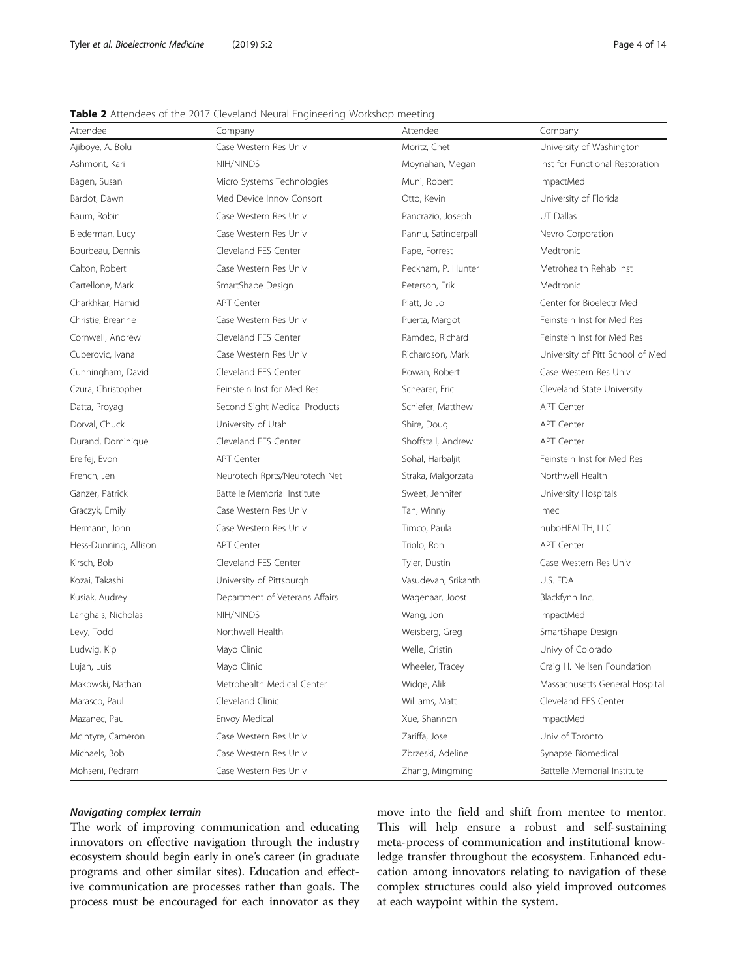| Attendee              | Company                        | Attendee            | Company                          |
|-----------------------|--------------------------------|---------------------|----------------------------------|
| Ajiboye, A. Bolu      | Case Western Res Univ          | Moritz, Chet        | University of Washington         |
| Ashmont, Kari         | NIH/NINDS                      | Moynahan, Megan     | Inst for Functional Restoration  |
| Bagen, Susan          | Micro Systems Technologies     | Muni, Robert        | ImpactMed                        |
| Bardot, Dawn          | Med Device Innov Consort       | Otto, Kevin         | University of Florida            |
| Baum, Robin           | Case Western Res Univ          | Pancrazio, Joseph   | <b>UT Dallas</b>                 |
| Biederman, Lucy       | Case Western Res Univ          | Pannu, Satinderpall | Nevro Corporation                |
| Bourbeau, Dennis      | Cleveland FES Center           | Pape, Forrest       | Medtronic                        |
| Calton, Robert        | Case Western Res Univ          | Peckham, P. Hunter  | Metrohealth Rehab Inst           |
| Cartellone, Mark      | SmartShape Design              | Peterson, Erik      | Medtronic                        |
| Charkhkar, Hamid      | <b>APT Center</b>              | Platt, Jo Jo        | Center for Bioelectr Med         |
| Christie, Breanne     | Case Western Res Univ          | Puerta, Margot      | Feinstein Inst for Med Res       |
| Cornwell, Andrew      | Cleveland FES Center           | Ramdeo, Richard     | Feinstein Inst for Med Res       |
| Cuberovic, Ivana      | Case Western Res Univ          | Richardson, Mark    | University of Pitt School of Med |
| Cunningham, David     | Cleveland FES Center           | Rowan, Robert       | Case Western Res Univ            |
| Czura, Christopher    | Feinstein Inst for Med Res     | Schearer, Eric      | Cleveland State University       |
| Datta, Proyag         | Second Sight Medical Products  | Schiefer, Matthew   | <b>APT Center</b>                |
| Dorval, Chuck         | University of Utah             | Shire, Doug         | <b>APT Center</b>                |
| Durand, Dominique     | Cleveland FES Center           | Shoffstall, Andrew  | <b>APT Center</b>                |
| Ereifej, Evon         | <b>APT Center</b>              | Sohal, Harbaljit    | Feinstein Inst for Med Res       |
| French, Jen           | Neurotech Rprts/Neurotech Net  | Straka, Malgorzata  | Northwell Health                 |
| Ganzer, Patrick       | Battelle Memorial Institute    | Sweet, Jennifer     | University Hospitals             |
| Graczyk, Emily        | Case Western Res Univ          | Tan, Winny          | <b>Imec</b>                      |
| Hermann, John         | Case Western Res Univ          | Timco, Paula        | nuboHEALTH, LLC                  |
| Hess-Dunning, Allison | <b>APT Center</b>              | Triolo, Ron         | <b>APT Center</b>                |
| Kirsch, Bob           | Cleveland FES Center           | Tyler, Dustin       | Case Western Res Univ            |
| Kozai, Takashi        | University of Pittsburgh       | Vasudevan, Srikanth | U.S. FDA                         |
| Kusiak, Audrey        | Department of Veterans Affairs | Wagenaar, Joost     | Blackfynn Inc.                   |
| Langhals, Nicholas    | NIH/NINDS                      | Wang, Jon           | ImpactMed                        |
| Levy, Todd            | Northwell Health               | Weisberg, Greg      | SmartShape Design                |
| Ludwig, Kip           | Mayo Clinic                    | Welle, Cristin      | Univy of Colorado                |
| Lujan, Luis           | Mayo Clinic                    | Wheeler, Tracey     | Craig H. Neilsen Foundation      |
| Makowski, Nathan      | Metrohealth Medical Center     | Widge, Alik         | Massachusetts General Hospital   |
| Marasco, Paul         | Cleveland Clinic               | Williams, Matt      | Cleveland FES Center             |
| Mazanec, Paul         | Envoy Medical                  | Xue, Shannon        | ImpactMed                        |
| McIntyre, Cameron     | Case Western Res Univ          | Zariffa, Jose       | Univ of Toronto                  |
| Michaels, Bob         | Case Western Res Univ          | Zbrzeski, Adeline   | Synapse Biomedical               |
| Mohseni, Pedram       | Case Western Res Univ          | Zhang, Mingming     | Battelle Memorial Institute      |

<span id="page-3-0"></span>Table 2 Attendees of the 2017 Cleveland Neural Engineering Workshop meeting

# Navigating complex terrain

The work of improving communication and educating innovators on effective navigation through the industry ecosystem should begin early in one's career (in graduate programs and other similar sites). Education and effective communication are processes rather than goals. The process must be encouraged for each innovator as they

move into the field and shift from mentee to mentor. This will help ensure a robust and self-sustaining meta-process of communication and institutional knowledge transfer throughout the ecosystem. Enhanced education among innovators relating to navigation of these complex structures could also yield improved outcomes at each waypoint within the system.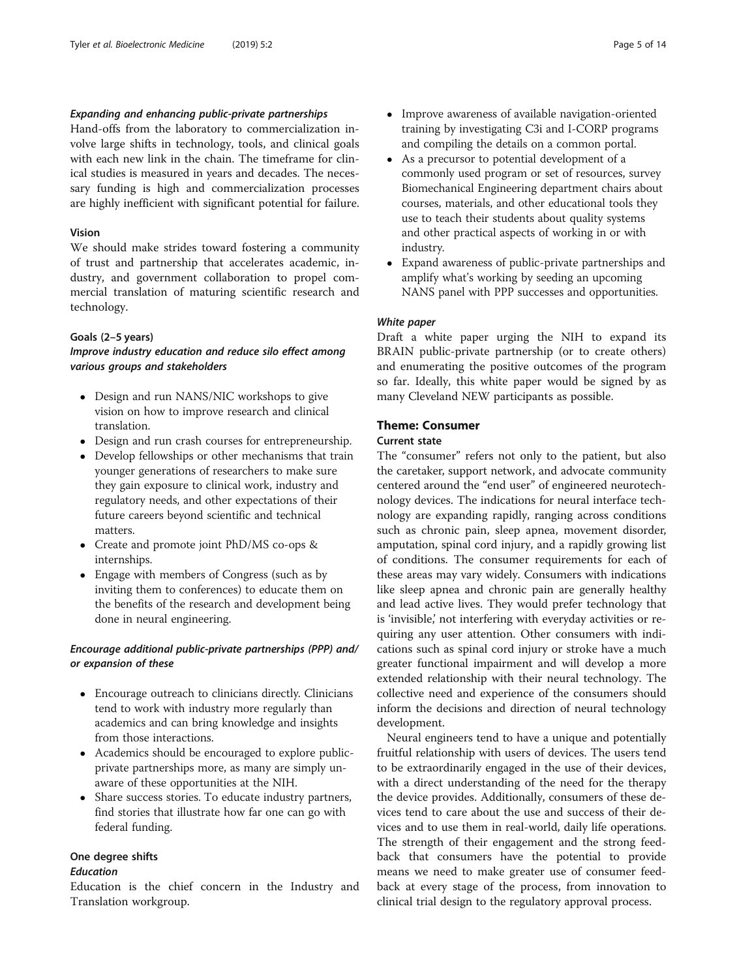## Expanding and enhancing public-private partnerships

Hand-offs from the laboratory to commercialization involve large shifts in technology, tools, and clinical goals with each new link in the chain. The timeframe for clinical studies is measured in years and decades. The necessary funding is high and commercialization processes are highly inefficient with significant potential for failure.

### Vision

We should make strides toward fostering a community of trust and partnership that accelerates academic, industry, and government collaboration to propel commercial translation of maturing scientific research and technology.

### Goals (2–5 years)

# Improve industry education and reduce silo effect among various groups and stakeholders

- Design and run NANS/NIC workshops to give vision on how to improve research and clinical translation.
- Design and run crash courses for entrepreneurship.
- Develop fellowships or other mechanisms that train younger generations of researchers to make sure they gain exposure to clinical work, industry and regulatory needs, and other expectations of their future careers beyond scientific and technical matters.
- Create and promote joint PhD/MS co-ops & internships.
- Engage with members of Congress (such as by inviting them to conferences) to educate them on the benefits of the research and development being done in neural engineering.

## Encourage additional public-private partnerships (PPP) and/ or expansion of these

- Encourage outreach to clinicians directly. Clinicians tend to work with industry more regularly than academics and can bring knowledge and insights from those interactions.
- Academics should be encouraged to explore publicprivate partnerships more, as many are simply unaware of these opportunities at the NIH.
- Share success stories. To educate industry partners, find stories that illustrate how far one can go with federal funding.

# One degree shifts

# Education

Education is the chief concern in the Industry and Translation workgroup.

- Improve awareness of available navigation-oriented training by investigating C3i and I-CORP programs and compiling the details on a common portal.
- As a precursor to potential development of a commonly used program or set of resources, survey Biomechanical Engineering department chairs about courses, materials, and other educational tools they use to teach their students about quality systems and other practical aspects of working in or with industry.
- Expand awareness of public-private partnerships and amplify what's working by seeding an upcoming NANS panel with PPP successes and opportunities.

## White paper

Draft a white paper urging the NIH to expand its BRAIN public-private partnership (or to create others) and enumerating the positive outcomes of the program so far. Ideally, this white paper would be signed by as many Cleveland NEW participants as possible.

# Theme: Consumer

## Current state

The "consumer" refers not only to the patient, but also the caretaker, support network, and advocate community centered around the "end user" of engineered neurotechnology devices. The indications for neural interface technology are expanding rapidly, ranging across conditions such as chronic pain, sleep apnea, movement disorder, amputation, spinal cord injury, and a rapidly growing list of conditions. The consumer requirements for each of these areas may vary widely. Consumers with indications like sleep apnea and chronic pain are generally healthy and lead active lives. They would prefer technology that is 'invisible,' not interfering with everyday activities or requiring any user attention. Other consumers with indications such as spinal cord injury or stroke have a much greater functional impairment and will develop a more extended relationship with their neural technology. The collective need and experience of the consumers should inform the decisions and direction of neural technology development.

Neural engineers tend to have a unique and potentially fruitful relationship with users of devices. The users tend to be extraordinarily engaged in the use of their devices, with a direct understanding of the need for the therapy the device provides. Additionally, consumers of these devices tend to care about the use and success of their devices and to use them in real-world, daily life operations. The strength of their engagement and the strong feedback that consumers have the potential to provide means we need to make greater use of consumer feedback at every stage of the process, from innovation to clinical trial design to the regulatory approval process.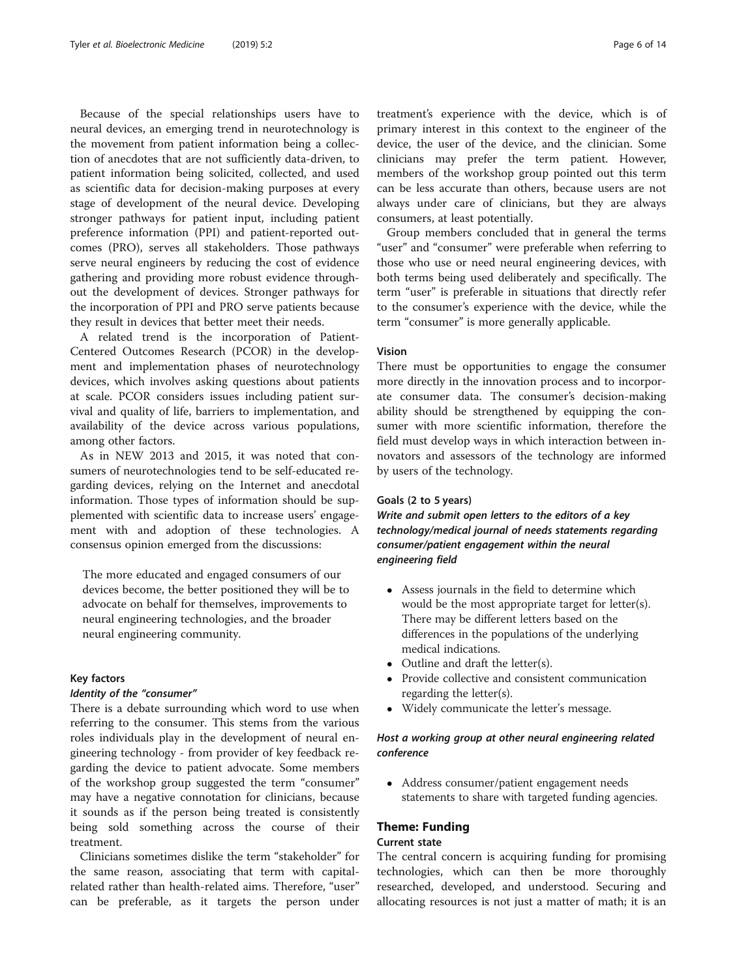Because of the special relationships users have to neural devices, an emerging trend in neurotechnology is the movement from patient information being a collection of anecdotes that are not sufficiently data-driven, to patient information being solicited, collected, and used as scientific data for decision-making purposes at every stage of development of the neural device. Developing stronger pathways for patient input, including patient preference information (PPI) and patient-reported outcomes (PRO), serves all stakeholders. Those pathways serve neural engineers by reducing the cost of evidence gathering and providing more robust evidence throughout the development of devices. Stronger pathways for the incorporation of PPI and PRO serve patients because they result in devices that better meet their needs.

A related trend is the incorporation of Patient-Centered Outcomes Research (PCOR) in the development and implementation phases of neurotechnology devices, which involves asking questions about patients at scale. PCOR considers issues including patient survival and quality of life, barriers to implementation, and availability of the device across various populations, among other factors.

As in NEW 2013 and 2015, it was noted that consumers of neurotechnologies tend to be self-educated regarding devices, relying on the Internet and anecdotal information. Those types of information should be supplemented with scientific data to increase users' engagement with and adoption of these technologies. A consensus opinion emerged from the discussions:

The more educated and engaged consumers of our devices become, the better positioned they will be to advocate on behalf for themselves, improvements to neural engineering technologies, and the broader neural engineering community.

### Key factors

### Identity of the "consumer"

There is a debate surrounding which word to use when referring to the consumer. This stems from the various roles individuals play in the development of neural engineering technology - from provider of key feedback regarding the device to patient advocate. Some members of the workshop group suggested the term "consumer" may have a negative connotation for clinicians, because it sounds as if the person being treated is consistently being sold something across the course of their treatment.

Clinicians sometimes dislike the term "stakeholder" for the same reason, associating that term with capitalrelated rather than health-related aims. Therefore, "user" can be preferable, as it targets the person under treatment's experience with the device, which is of primary interest in this context to the engineer of the device, the user of the device, and the clinician. Some clinicians may prefer the term patient. However, members of the workshop group pointed out this term can be less accurate than others, because users are not always under care of clinicians, but they are always consumers, at least potentially.

Group members concluded that in general the terms "user" and "consumer" were preferable when referring to those who use or need neural engineering devices, with both terms being used deliberately and specifically. The term "user" is preferable in situations that directly refer to the consumer's experience with the device, while the term "consumer" is more generally applicable.

### Vision

There must be opportunities to engage the consumer more directly in the innovation process and to incorporate consumer data. The consumer's decision-making ability should be strengthened by equipping the consumer with more scientific information, therefore the field must develop ways in which interaction between innovators and assessors of the technology are informed by users of the technology.

### Goals (2 to 5 years)

Write and submit open letters to the editors of a key technology/medical journal of needs statements regarding consumer/patient engagement within the neural engineering field

- Assess journals in the field to determine which would be the most appropriate target for letter(s). There may be different letters based on the differences in the populations of the underlying medical indications.
- Outline and draft the letter(s).
- Provide collective and consistent communication regarding the letter(s).
- Widely communicate the letter's message.

## Host a working group at other neural engineering related conference

 Address consumer/patient engagement needs statements to share with targeted funding agencies.

## Theme: Funding

## Current state

The central concern is acquiring funding for promising technologies, which can then be more thoroughly researched, developed, and understood. Securing and allocating resources is not just a matter of math; it is an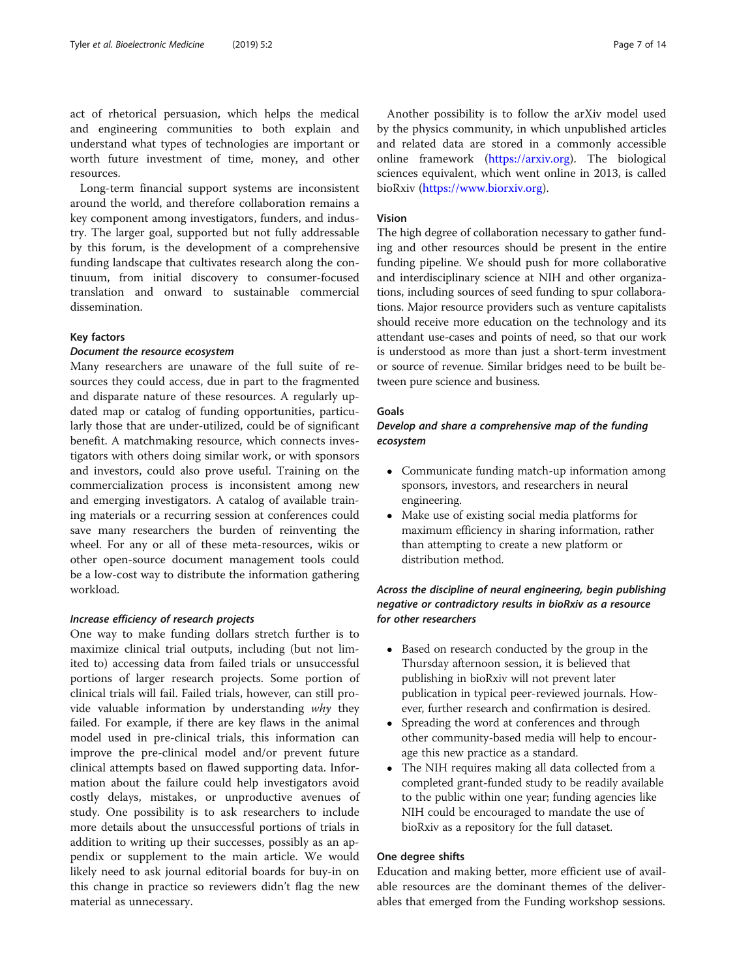act of rhetorical persuasion, which helps the medical and engineering communities to both explain and understand what types of technologies are important or worth future investment of time, money, and other resources.

Long-term financial support systems are inconsistent around the world, and therefore collaboration remains a key component among investigators, funders, and industry. The larger goal, supported but not fully addressable by this forum, is the development of a comprehensive funding landscape that cultivates research along the continuum, from initial discovery to consumer-focused translation and onward to sustainable commercial dissemination.

## Key factors

### Document the resource ecosystem

Many researchers are unaware of the full suite of resources they could access, due in part to the fragmented and disparate nature of these resources. A regularly updated map or catalog of funding opportunities, particularly those that are under-utilized, could be of significant benefit. A matchmaking resource, which connects investigators with others doing similar work, or with sponsors and investors, could also prove useful. Training on the commercialization process is inconsistent among new and emerging investigators. A catalog of available training materials or a recurring session at conferences could save many researchers the burden of reinventing the wheel. For any or all of these meta-resources, wikis or other open-source document management tools could be a low-cost way to distribute the information gathering workload.

### Increase efficiency of research projects

One way to make funding dollars stretch further is to maximize clinical trial outputs, including (but not limited to) accessing data from failed trials or unsuccessful portions of larger research projects. Some portion of clinical trials will fail. Failed trials, however, can still provide valuable information by understanding why they failed. For example, if there are key flaws in the animal model used in pre-clinical trials, this information can improve the pre-clinical model and/or prevent future clinical attempts based on flawed supporting data. Information about the failure could help investigators avoid costly delays, mistakes, or unproductive avenues of study. One possibility is to ask researchers to include more details about the unsuccessful portions of trials in addition to writing up their successes, possibly as an appendix or supplement to the main article. We would likely need to ask journal editorial boards for buy-in on this change in practice so reviewers didn't flag the new material as unnecessary.

Another possibility is to follow the arXiv model used by the physics community, in which unpublished articles and related data are stored in a commonly accessible online framework ([https://arxiv.org\)](https://arxiv.org). The biological sciences equivalent, which went online in 2013, is called bioRxiv (<https://www.biorxiv.org>).

### Vision

The high degree of collaboration necessary to gather funding and other resources should be present in the entire funding pipeline. We should push for more collaborative and interdisciplinary science at NIH and other organizations, including sources of seed funding to spur collaborations. Major resource providers such as venture capitalists should receive more education on the technology and its attendant use-cases and points of need, so that our work is understood as more than just a short-term investment or source of revenue. Similar bridges need to be built between pure science and business.

### Goals

# Develop and share a comprehensive map of the funding ecosystem

- Communicate funding match-up information among sponsors, investors, and researchers in neural engineering.
- Make use of existing social media platforms for maximum efficiency in sharing information, rather than attempting to create a new platform or distribution method.

## Across the discipline of neural engineering, begin publishing negative or contradictory results in bioRxiv as a resource for other researchers

- Based on research conducted by the group in the Thursday afternoon session, it is believed that publishing in bioRxiv will not prevent later publication in typical peer-reviewed journals. However, further research and confirmation is desired.
- Spreading the word at conferences and through other community-based media will help to encourage this new practice as a standard.
- The NIH requires making all data collected from a completed grant-funded study to be readily available to the public within one year; funding agencies like NIH could be encouraged to mandate the use of bioRxiv as a repository for the full dataset.

### One degree shifts

Education and making better, more efficient use of available resources are the dominant themes of the deliverables that emerged from the Funding workshop sessions.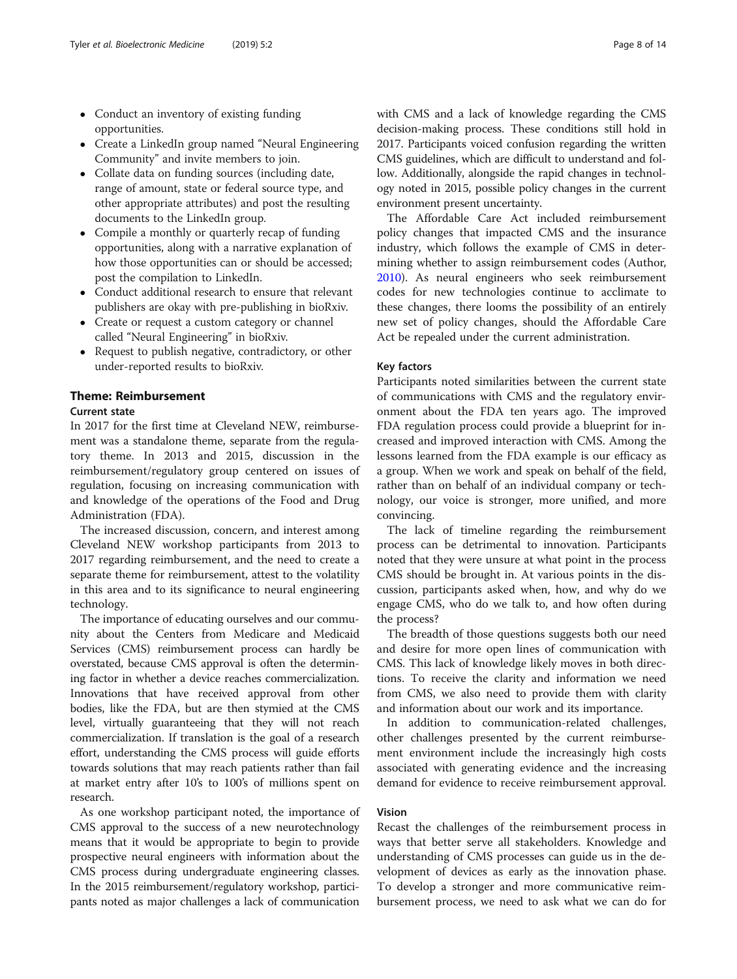- Conduct an inventory of existing funding opportunities.
- Create a LinkedIn group named "Neural Engineering Community" and invite members to join.
- Collate data on funding sources (including date, range of amount, state or federal source type, and other appropriate attributes) and post the resulting documents to the LinkedIn group.
- Compile a monthly or quarterly recap of funding opportunities, along with a narrative explanation of how those opportunities can or should be accessed; post the compilation to LinkedIn.
- Conduct additional research to ensure that relevant publishers are okay with pre-publishing in bioRxiv.
- Create or request a custom category or channel called "Neural Engineering" in bioRxiv.
- Request to publish negative, contradictory, or other under-reported results to bioRxiv.

## Theme: Reimbursement

## Current state

In 2017 for the first time at Cleveland NEW, reimbursement was a standalone theme, separate from the regulatory theme. In 2013 and 2015, discussion in the reimbursement/regulatory group centered on issues of regulation, focusing on increasing communication with and knowledge of the operations of the Food and Drug Administration (FDA).

The increased discussion, concern, and interest among Cleveland NEW workshop participants from 2013 to 2017 regarding reimbursement, and the need to create a separate theme for reimbursement, attest to the volatility in this area and to its significance to neural engineering technology.

The importance of educating ourselves and our community about the Centers from Medicare and Medicaid Services (CMS) reimbursement process can hardly be overstated, because CMS approval is often the determining factor in whether a device reaches commercialization. Innovations that have received approval from other bodies, like the FDA, but are then stymied at the CMS level, virtually guaranteeing that they will not reach commercialization. If translation is the goal of a research effort, understanding the CMS process will guide efforts towards solutions that may reach patients rather than fail at market entry after 10's to 100's of millions spent on research.

As one workshop participant noted, the importance of CMS approval to the success of a new neurotechnology means that it would be appropriate to begin to provide prospective neural engineers with information about the CMS process during undergraduate engineering classes. In the 2015 reimbursement/regulatory workshop, participants noted as major challenges a lack of communication with CMS and a lack of knowledge regarding the CMS decision-making process. These conditions still hold in 2017. Participants voiced confusion regarding the written CMS guidelines, which are difficult to understand and follow. Additionally, alongside the rapid changes in technology noted in 2015, possible policy changes in the current environment present uncertainty.

The Affordable Care Act included reimbursement policy changes that impacted CMS and the insurance industry, which follows the example of CMS in determining whether to assign reimbursement codes (Author, [2010](#page-13-0)). As neural engineers who seek reimbursement codes for new technologies continue to acclimate to these changes, there looms the possibility of an entirely new set of policy changes, should the Affordable Care Act be repealed under the current administration.

## Key factors

Participants noted similarities between the current state of communications with CMS and the regulatory environment about the FDA ten years ago. The improved FDA regulation process could provide a blueprint for increased and improved interaction with CMS. Among the lessons learned from the FDA example is our efficacy as a group. When we work and speak on behalf of the field, rather than on behalf of an individual company or technology, our voice is stronger, more unified, and more convincing.

The lack of timeline regarding the reimbursement process can be detrimental to innovation. Participants noted that they were unsure at what point in the process CMS should be brought in. At various points in the discussion, participants asked when, how, and why do we engage CMS, who do we talk to, and how often during the process?

The breadth of those questions suggests both our need and desire for more open lines of communication with CMS. This lack of knowledge likely moves in both directions. To receive the clarity and information we need from CMS, we also need to provide them with clarity and information about our work and its importance.

In addition to communication-related challenges, other challenges presented by the current reimbursement environment include the increasingly high costs associated with generating evidence and the increasing demand for evidence to receive reimbursement approval.

### Vision

Recast the challenges of the reimbursement process in ways that better serve all stakeholders. Knowledge and understanding of CMS processes can guide us in the development of devices as early as the innovation phase. To develop a stronger and more communicative reimbursement process, we need to ask what we can do for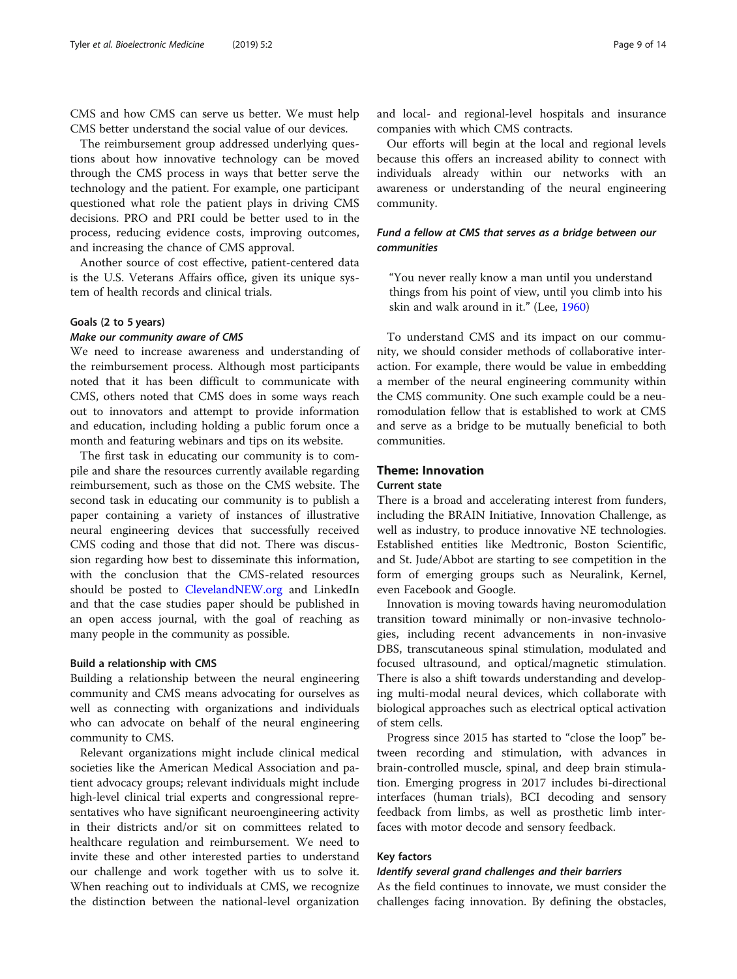CMS and how CMS can serve us better. We must help CMS better understand the social value of our devices.

The reimbursement group addressed underlying questions about how innovative technology can be moved through the CMS process in ways that better serve the technology and the patient. For example, one participant questioned what role the patient plays in driving CMS decisions. PRO and PRI could be better used to in the process, reducing evidence costs, improving outcomes, and increasing the chance of CMS approval.

Another source of cost effective, patient-centered data is the U.S. Veterans Affairs office, given its unique system of health records and clinical trials.

### Goals (2 to 5 years)

## Make our community aware of CMS

We need to increase awareness and understanding of the reimbursement process. Although most participants noted that it has been difficult to communicate with CMS, others noted that CMS does in some ways reach out to innovators and attempt to provide information and education, including holding a public forum once a month and featuring webinars and tips on its website.

The first task in educating our community is to compile and share the resources currently available regarding reimbursement, such as those on the CMS website. The second task in educating our community is to publish a paper containing a variety of instances of illustrative neural engineering devices that successfully received CMS coding and those that did not. There was discussion regarding how best to disseminate this information, with the conclusion that the CMS-related resources should be posted to [ClevelandNEW.org](http://clevelandnew.org) and LinkedIn and that the case studies paper should be published in an open access journal, with the goal of reaching as many people in the community as possible.

## Build a relationship with CMS

Building a relationship between the neural engineering community and CMS means advocating for ourselves as well as connecting with organizations and individuals who can advocate on behalf of the neural engineering community to CMS.

Relevant organizations might include clinical medical societies like the American Medical Association and patient advocacy groups; relevant individuals might include high-level clinical trial experts and congressional representatives who have significant neuroengineering activity in their districts and/or sit on committees related to healthcare regulation and reimbursement. We need to invite these and other interested parties to understand our challenge and work together with us to solve it. When reaching out to individuals at CMS, we recognize the distinction between the national-level organization and local- and regional-level hospitals and insurance companies with which CMS contracts.

Our efforts will begin at the local and regional levels because this offers an increased ability to connect with individuals already within our networks with an awareness or understanding of the neural engineering community.

## Fund a fellow at CMS that serves as a bridge between our communities

"You never really know a man until you understand things from his point of view, until you climb into his skin and walk around in it." (Lee, [1960\)](#page-13-0)

To understand CMS and its impact on our community, we should consider methods of collaborative interaction. For example, there would be value in embedding a member of the neural engineering community within the CMS community. One such example could be a neuromodulation fellow that is established to work at CMS and serve as a bridge to be mutually beneficial to both communities.

# Theme: Innovation

### Current state

There is a broad and accelerating interest from funders, including the BRAIN Initiative, Innovation Challenge, as well as industry, to produce innovative NE technologies. Established entities like Medtronic, Boston Scientific, and St. Jude/Abbot are starting to see competition in the form of emerging groups such as Neuralink, Kernel, even Facebook and Google.

Innovation is moving towards having neuromodulation transition toward minimally or non-invasive technologies, including recent advancements in non-invasive DBS, transcutaneous spinal stimulation, modulated and focused ultrasound, and optical/magnetic stimulation. There is also a shift towards understanding and developing multi-modal neural devices, which collaborate with biological approaches such as electrical optical activation of stem cells.

Progress since 2015 has started to "close the loop" between recording and stimulation, with advances in brain-controlled muscle, spinal, and deep brain stimulation. Emerging progress in 2017 includes bi-directional interfaces (human trials), BCI decoding and sensory feedback from limbs, as well as prosthetic limb interfaces with motor decode and sensory feedback.

## Key factors

## Identify several grand challenges and their barriers

As the field continues to innovate, we must consider the challenges facing innovation. By defining the obstacles,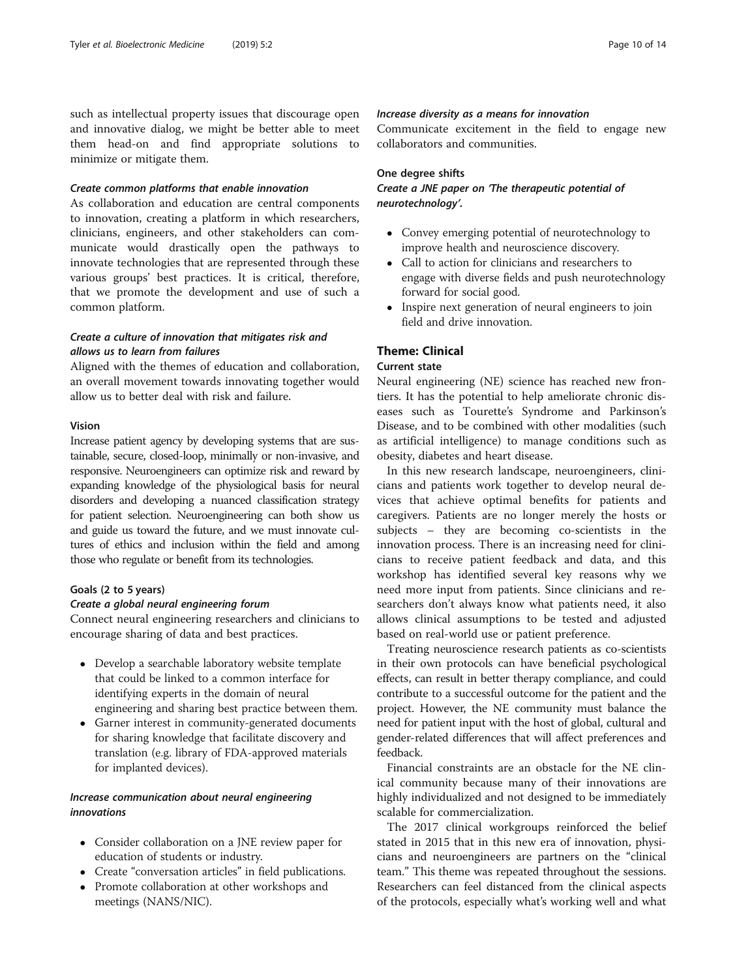such as intellectual property issues that discourage open and innovative dialog, we might be better able to meet them head-on and find appropriate solutions to minimize or mitigate them.

### Create common platforms that enable innovation

As collaboration and education are central components to innovation, creating a platform in which researchers, clinicians, engineers, and other stakeholders can communicate would drastically open the pathways to innovate technologies that are represented through these various groups' best practices. It is critical, therefore, that we promote the development and use of such a common platform.

# Create a culture of innovation that mitigates risk and allows us to learn from failures

Aligned with the themes of education and collaboration, an overall movement towards innovating together would allow us to better deal with risk and failure.

### Vision

Increase patient agency by developing systems that are sustainable, secure, closed-loop, minimally or non-invasive, and responsive. Neuroengineers can optimize risk and reward by expanding knowledge of the physiological basis for neural disorders and developing a nuanced classification strategy for patient selection. Neuroengineering can both show us and guide us toward the future, and we must innovate cultures of ethics and inclusion within the field and among those who regulate or benefit from its technologies.

### Goals (2 to 5 years)

### Create a global neural engineering forum

Connect neural engineering researchers and clinicians to encourage sharing of data and best practices.

- Develop a searchable laboratory website template that could be linked to a common interface for identifying experts in the domain of neural engineering and sharing best practice between them.
- Garner interest in community-generated documents for sharing knowledge that facilitate discovery and translation (e.g. library of FDA-approved materials for implanted devices).

## Increase communication about neural engineering innovations

- Consider collaboration on a JNE review paper for education of students or industry.
- Create "conversation articles" in field publications.
- Promote collaboration at other workshops and meetings (NANS/NIC).

### Increase diversity as a means for innovation

Communicate excitement in the field to engage new collaborators and communities.

## One degree shifts

## Create a JNE paper on 'The therapeutic potential of neurotechnology'.

- Convey emerging potential of neurotechnology to improve health and neuroscience discovery.
- Call to action for clinicians and researchers to engage with diverse fields and push neurotechnology forward for social good.
- Inspire next generation of neural engineers to join field and drive innovation.

# Theme: Clinical

## Current state

Neural engineering (NE) science has reached new frontiers. It has the potential to help ameliorate chronic diseases such as Tourette's Syndrome and Parkinson's Disease, and to be combined with other modalities (such as artificial intelligence) to manage conditions such as obesity, diabetes and heart disease.

In this new research landscape, neuroengineers, clinicians and patients work together to develop neural devices that achieve optimal benefits for patients and caregivers. Patients are no longer merely the hosts or subjects – they are becoming co-scientists in the innovation process. There is an increasing need for clinicians to receive patient feedback and data, and this workshop has identified several key reasons why we need more input from patients. Since clinicians and researchers don't always know what patients need, it also allows clinical assumptions to be tested and adjusted based on real-world use or patient preference.

Treating neuroscience research patients as co-scientists in their own protocols can have beneficial psychological effects, can result in better therapy compliance, and could contribute to a successful outcome for the patient and the project. However, the NE community must balance the need for patient input with the host of global, cultural and gender-related differences that will affect preferences and feedback.

Financial constraints are an obstacle for the NE clinical community because many of their innovations are highly individualized and not designed to be immediately scalable for commercialization.

The 2017 clinical workgroups reinforced the belief stated in 2015 that in this new era of innovation, physicians and neuroengineers are partners on the "clinical team." This theme was repeated throughout the sessions. Researchers can feel distanced from the clinical aspects of the protocols, especially what's working well and what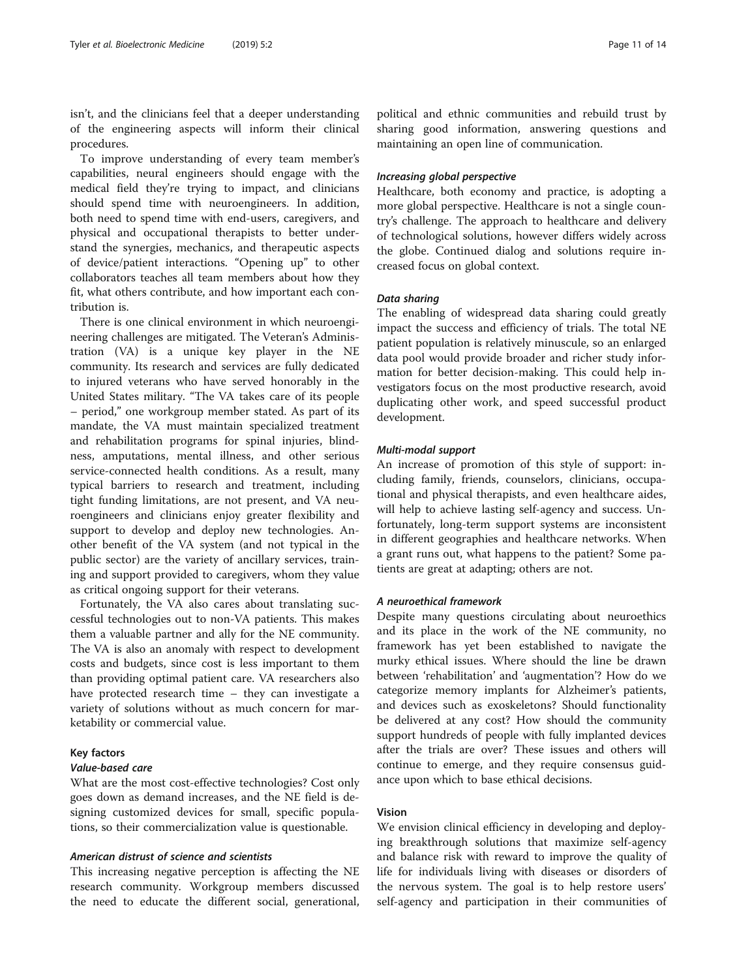isn't, and the clinicians feel that a deeper understanding of the engineering aspects will inform their clinical procedures.

To improve understanding of every team member's capabilities, neural engineers should engage with the medical field they're trying to impact, and clinicians should spend time with neuroengineers. In addition, both need to spend time with end-users, caregivers, and physical and occupational therapists to better understand the synergies, mechanics, and therapeutic aspects of device/patient interactions. "Opening up" to other collaborators teaches all team members about how they fit, what others contribute, and how important each contribution is.

There is one clinical environment in which neuroengineering challenges are mitigated. The Veteran's Administration (VA) is a unique key player in the NE community. Its research and services are fully dedicated to injured veterans who have served honorably in the United States military. "The VA takes care of its people – period," one workgroup member stated. As part of its mandate, the VA must maintain specialized treatment and rehabilitation programs for spinal injuries, blindness, amputations, mental illness, and other serious service-connected health conditions. As a result, many typical barriers to research and treatment, including tight funding limitations, are not present, and VA neuroengineers and clinicians enjoy greater flexibility and support to develop and deploy new technologies. Another benefit of the VA system (and not typical in the public sector) are the variety of ancillary services, training and support provided to caregivers, whom they value as critical ongoing support for their veterans.

Fortunately, the VA also cares about translating successful technologies out to non-VA patients. This makes them a valuable partner and ally for the NE community. The VA is also an anomaly with respect to development costs and budgets, since cost is less important to them than providing optimal patient care. VA researchers also have protected research time – they can investigate a variety of solutions without as much concern for marketability or commercial value.

### Key factors

### Value-based care

What are the most cost-effective technologies? Cost only goes down as demand increases, and the NE field is designing customized devices for small, specific populations, so their commercialization value is questionable.

### American distrust of science and scientists

This increasing negative perception is affecting the NE research community. Workgroup members discussed the need to educate the different social, generational,

political and ethnic communities and rebuild trust by sharing good information, answering questions and maintaining an open line of communication.

### Increasing global perspective

Healthcare, both economy and practice, is adopting a more global perspective. Healthcare is not a single country's challenge. The approach to healthcare and delivery of technological solutions, however differs widely across the globe. Continued dialog and solutions require increased focus on global context.

### Data sharing

The enabling of widespread data sharing could greatly impact the success and efficiency of trials. The total NE patient population is relatively minuscule, so an enlarged data pool would provide broader and richer study information for better decision-making. This could help investigators focus on the most productive research, avoid duplicating other work, and speed successful product development.

### Multi-modal support

An increase of promotion of this style of support: including family, friends, counselors, clinicians, occupational and physical therapists, and even healthcare aides, will help to achieve lasting self-agency and success. Unfortunately, long-term support systems are inconsistent in different geographies and healthcare networks. When a grant runs out, what happens to the patient? Some patients are great at adapting; others are not.

### A neuroethical framework

Despite many questions circulating about neuroethics and its place in the work of the NE community, no framework has yet been established to navigate the murky ethical issues. Where should the line be drawn between 'rehabilitation' and 'augmentation'? How do we categorize memory implants for Alzheimer's patients, and devices such as exoskeletons? Should functionality be delivered at any cost? How should the community support hundreds of people with fully implanted devices after the trials are over? These issues and others will continue to emerge, and they require consensus guidance upon which to base ethical decisions.

## Vision

We envision clinical efficiency in developing and deploying breakthrough solutions that maximize self-agency and balance risk with reward to improve the quality of life for individuals living with diseases or disorders of the nervous system. The goal is to help restore users' self-agency and participation in their communities of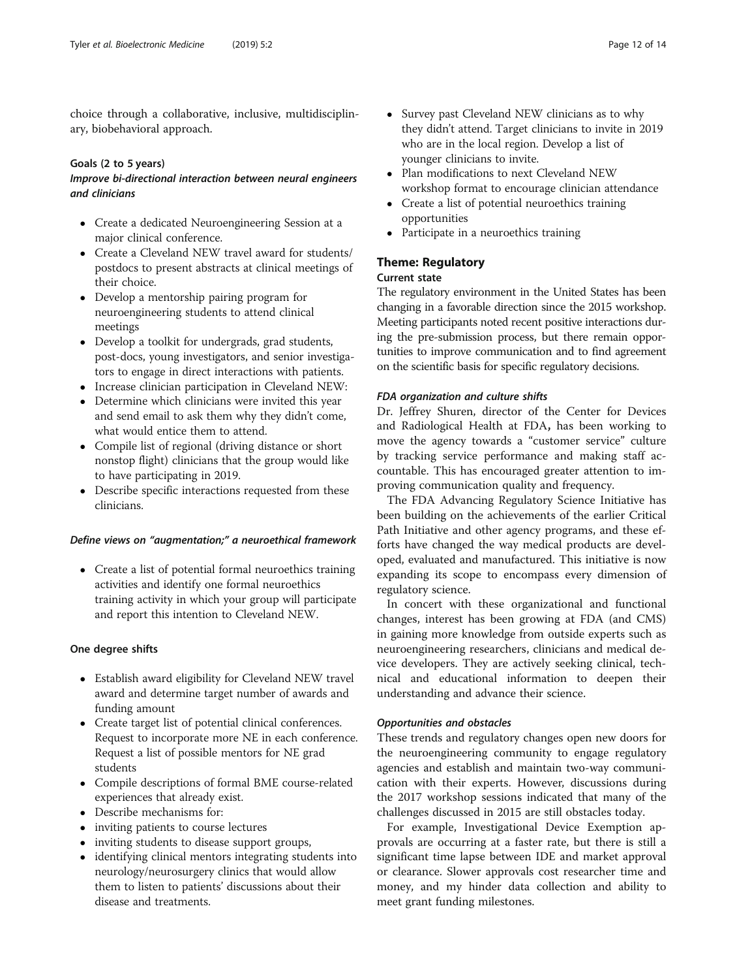choice through a collaborative, inclusive, multidisciplinary, biobehavioral approach.

## Goals (2 to 5 years)

# Improve bi-directional interaction between neural engineers and clinicians

- Create a dedicated Neuroengineering Session at a major clinical conference.
- Create a Cleveland NEW travel award for students/ postdocs to present abstracts at clinical meetings of their choice.
- Develop a mentorship pairing program for neuroengineering students to attend clinical meetings
- Develop a toolkit for undergrads, grad students, post-docs, young investigators, and senior investigators to engage in direct interactions with patients.
- Increase clinician participation in Cleveland NEW:
- Determine which clinicians were invited this year and send email to ask them why they didn't come, what would entice them to attend.
- Compile list of regional (driving distance or short nonstop flight) clinicians that the group would like to have participating in 2019.
- Describe specific interactions requested from these clinicians.

## Define views on "augmentation;" a neuroethical framework

 Create a list of potential formal neuroethics training activities and identify one formal neuroethics training activity in which your group will participate and report this intention to Cleveland NEW.

## One degree shifts

- Establish award eligibility for Cleveland NEW travel award and determine target number of awards and funding amount
- Create target list of potential clinical conferences. Request to incorporate more NE in each conference. Request a list of possible mentors for NE grad students
- Compile descriptions of formal BME course-related experiences that already exist.
- Describe mechanisms for:
- inviting patients to course lectures
- inviting students to disease support groups,
- identifying clinical mentors integrating students into neurology/neurosurgery clinics that would allow them to listen to patients' discussions about their disease and treatments.
- Survey past Cleveland NEW clinicians as to why they didn't attend. Target clinicians to invite in 2019 who are in the local region. Develop a list of younger clinicians to invite.
- Plan modifications to next Cleveland NEW workshop format to encourage clinician attendance
- Create a list of potential neuroethics training opportunities
- Participate in a neuroethics training

# Theme: Regulatory Current state

The regulatory environment in the United States has been changing in a favorable direction since the 2015 workshop. Meeting participants noted recent positive interactions during the pre-submission process, but there remain opportunities to improve communication and to find agreement on the scientific basis for specific regulatory decisions.

## FDA organization and culture shifts

Dr. Jeffrey Shuren, director of the Center for Devices and Radiological Health at FDA, has been working to move the agency towards a "customer service" culture by tracking service performance and making staff accountable. This has encouraged greater attention to improving communication quality and frequency.

The FDA Advancing Regulatory Science Initiative has been building on the achievements of the earlier Critical Path Initiative and other agency programs, and these efforts have changed the way medical products are developed, evaluated and manufactured. This initiative is now expanding its scope to encompass every dimension of regulatory science.

In concert with these organizational and functional changes, interest has been growing at FDA (and CMS) in gaining more knowledge from outside experts such as neuroengineering researchers, clinicians and medical device developers. They are actively seeking clinical, technical and educational information to deepen their understanding and advance their science.

## Opportunities and obstacles

These trends and regulatory changes open new doors for the neuroengineering community to engage regulatory agencies and establish and maintain two-way communication with their experts. However, discussions during the 2017 workshop sessions indicated that many of the challenges discussed in 2015 are still obstacles today.

For example, Investigational Device Exemption approvals are occurring at a faster rate, but there is still a significant time lapse between IDE and market approval or clearance. Slower approvals cost researcher time and money, and my hinder data collection and ability to meet grant funding milestones.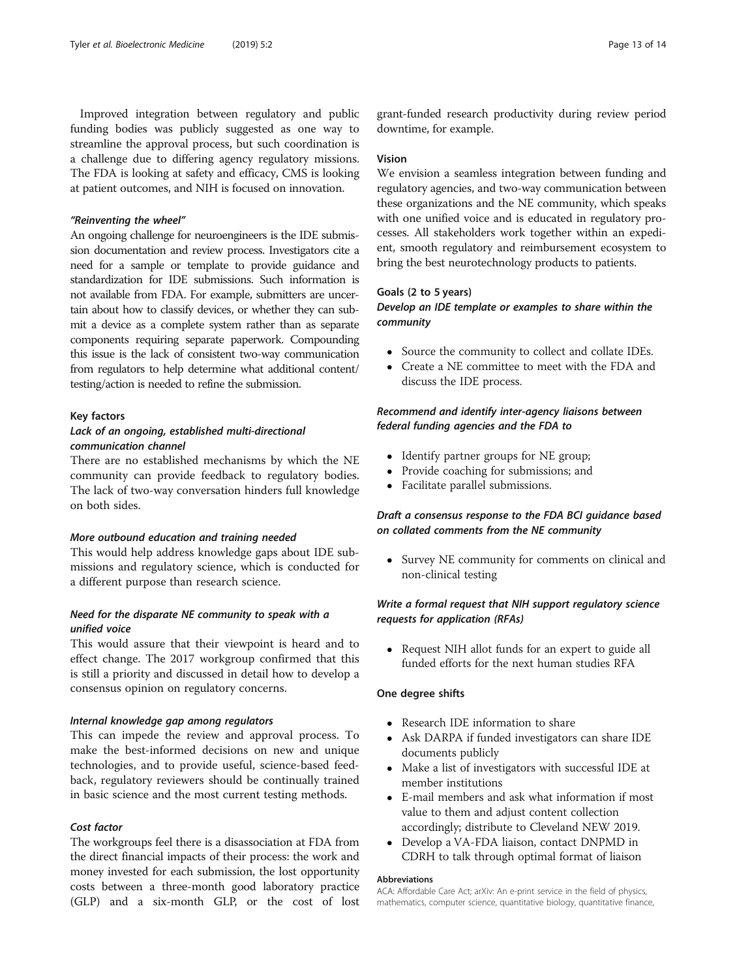Improved integration between regulatory and public funding bodies was publicly suggested as one way to streamline the approval process, but such coordination is a challenge due to differing agency regulatory missions. The FDA is looking at safety and efficacy, CMS is looking at patient outcomes, and NIH is focused on innovation.

## "Reinventing the wheel"

An ongoing challenge for neuroengineers is the IDE submission documentation and review process. Investigators cite a need for a sample or template to provide guidance and standardization for IDE submissions. Such information is not available from FDA. For example, submitters are uncertain about how to classify devices, or whether they can submit a device as a complete system rather than as separate components requiring separate paperwork. Compounding this issue is the lack of consistent two-way communication from regulators to help determine what additional content/ testing/action is needed to refine the submission.

### Key factors

# Lack of an ongoing, established multi-directional communication channel

There are no established mechanisms by which the NE community can provide feedback to regulatory bodies. The lack of two-way conversation hinders full knowledge on both sides.

## More outbound education and training needed

This would help address knowledge gaps about IDE submissions and regulatory science, which is conducted for a different purpose than research science.

# Need for the disparate NE community to speak with a unified voice

This would assure that their viewpoint is heard and to effect change. The 2017 workgroup confirmed that this is still a priority and discussed in detail how to develop a consensus opinion on regulatory concerns.

## Internal knowledge gap among regulators

This can impede the review and approval process. To make the best-informed decisions on new and unique technologies, and to provide useful, science-based feedback, regulatory reviewers should be continually trained in basic science and the most current testing methods.

### Cost factor

The workgroups feel there is a disassociation at FDA from the direct financial impacts of their process: the work and money invested for each submission, the lost opportunity costs between a three-month good laboratory practice (GLP) and a six-month GLP, or the cost of lost grant-funded research productivity during review period downtime, for example.

### Vision

We envision a seamless integration between funding and regulatory agencies, and two-way communication between these organizations and the NE community, which speaks with one unified voice and is educated in regulatory processes. All stakeholders work together within an expedient, smooth regulatory and reimbursement ecosystem to bring the best neurotechnology products to patients.

### Goals (2 to 5 years)

## Develop an IDE template or examples to share within the community

- Source the community to collect and collate IDEs.
- Create a NE committee to meet with the FDA and discuss the IDE process.

# Recommend and identify inter-agency liaisons between federal funding agencies and the FDA to

- Identify partner groups for NE group;
- Provide coaching for submissions; and<br>• Facilitate parallel submissions.
- Facilitate parallel submissions.

# Draft a consensus response to the FDA BCI guidance based on collated comments from the NE community

 Survey NE community for comments on clinical and non-clinical testing

# Write a formal request that NIH support regulatory science requests for application (RFAs)

• Request NIH allot funds for an expert to guide all funded efforts for the next human studies RFA

## One degree shifts

- Research IDE information to share
- Ask DARPA if funded investigators can share IDE documents publicly
- Make a list of investigators with successful IDE at member institutions
- E-mail members and ask what information if most value to them and adjust content collection accordingly; distribute to Cleveland NEW 2019.
- Develop a VA-FDA liaison, contact DNPMD in CDRH to talk through optimal format of liaison

### Abbreviations

ACA: Affordable Care Act; arXiv: An e-print service in the field of physics, mathematics, computer science, quantitative biology, quantitative finance,